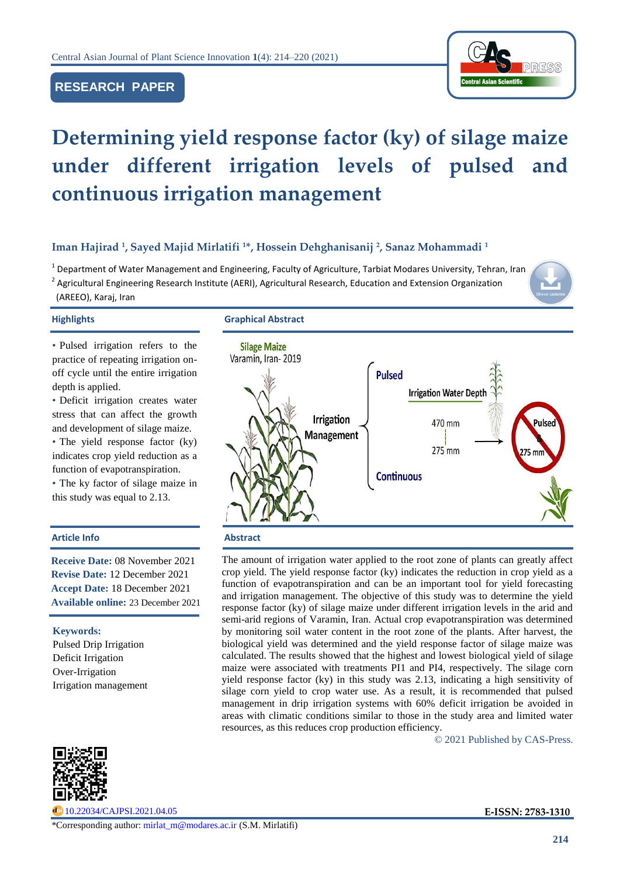# **RESEARCH PAPER**



# **Determining yield response factor (ky) of silage maize under different irrigation levels of pulsed and continuous irrigation management**

# **Iman Hajirad <sup>1</sup> , Sayed Majid Mirlatifi <sup>1</sup>\*, Hossein Dehghanisanij <sup>2</sup> , Sanaz Mohammadi <sup>1</sup>**

<sup>1</sup> Department of Water Management and Engineering, Faculty of Agriculture, Tarbiat Modares University, Tehran, Iran <sup>2</sup> Agricultural Engineering Research Institute (AERI), Agricultural Research, Education and Extension Organization (AREEO), Karaj, Iran



# **Highlights Graphical Abstract**

• Pulsed irrigation refers to the practice of repeating irrigation onoff cycle until the entire irrigation depth is applied.

• Deficit irrigation creates water stress that can affect the growth and development of silage maize.

• The yield response factor (ky) indicates crop yield reduction as a function of evapotranspiration.

• The ky factor of silage maize in this study was equal to 2.13.

# **Article Info Abstract**

**Receive Date:** 08 November 2021 **Revise Date:** 12 December 2021 **Accept Date:** 18 December 2021 **Available online:** 23 December 2021

**Keywords:**  Pulsed Drip Irrigation Deficit Irrigation Over-Irrigation Irrigation management



[10.22034/CAJPSI.2021.04.05](https://www.cajpsi.com/article_143219.html) **E-ISSN: 2783-1310**



The amount of irrigation water applied to the root zone of plants can greatly affect crop yield. The yield response factor (ky) indicates the reduction in crop yield as a function of evapotranspiration and can be an important tool for yield forecasting and irrigation management. The objective of this study was to determine the yield response factor (ky) of silage maize under different irrigation levels in the arid and semi-arid regions of Varamin, Iran. Actual crop evapotranspiration was determined by monitoring soil water content in the root zone of the plants. After harvest, the biological yield was determined and the yield response factor of silage maize was calculated. The results showed that the highest and lowest biological yield of silage maize were associated with treatments PI1 and PI4, respectively. The silage corn yield response factor (ky) in this study was 2.13, indicating a high sensitivity of silage corn yield to crop water use. As a result, it is recommended that pulsed management in drip irrigation systems with 60% deficit irrigation be avoided in areas with climatic conditions similar to those in the study area and limited water resources, as this reduces crop production efficiency.

© 2021 Published by CAS-Press.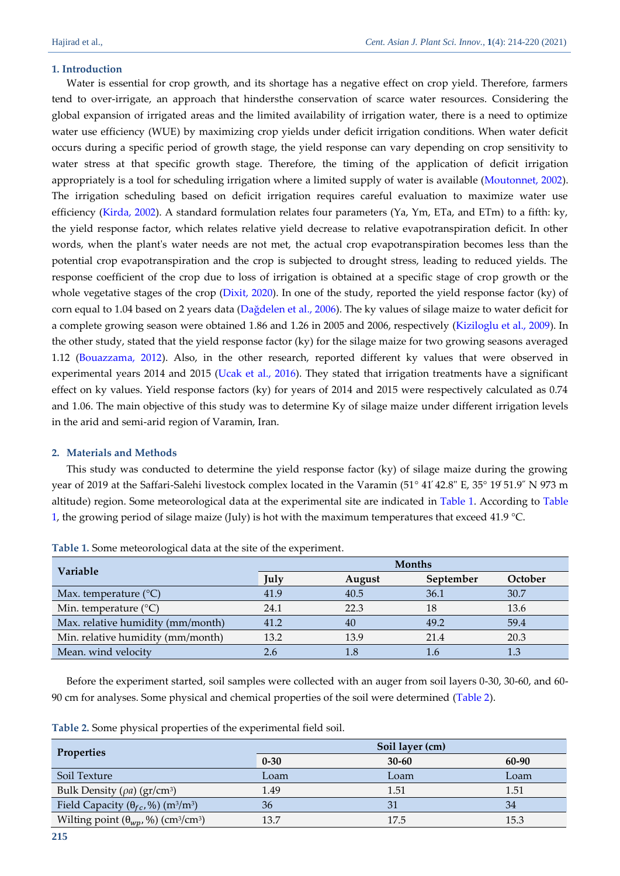# **1. Introduction**

Water is essential for crop growth, and its shortage has a negative effect on crop yield. Therefore, farmers tend to over-irrigate, an approach that hindersthe conservation of scarce water resources. Considering the global expansion of irrigated areas and the limited availability of irrigation water, there is a need to optimize water use efficiency (WUE) by maximizing crop yields under deficit irrigation conditions. When water deficit occurs during a specific period of growth stage, the yield response can vary depending on crop sensitivity to water stress at that specific growth stage. Therefore, the timing of the application of deficit irrigation appropriately is a tool for scheduling irrigation where a limited supply of water is available [\(Moutonnet, 2002\)](#page-6-0). The irrigation scheduling based on deficit irrigation requires careful evaluation to maximize water use efficiency [\(Kirda, 2002\)](#page-6-1). A standard formulation relates four parameters (Ya, Ym, ETa, and ETm) to a fifth: ky, the yield response factor, which relates relative yield decrease to relative evapotranspiration deficit. In other words, when the plant's water needs are not met, the actual crop evapotranspiration becomes less than the potential crop evapotranspiration and the crop is subjected to drought stress, leading to reduced yields. The response coefficient of the crop due to loss of irrigation is obtained at a specific stage of crop growth or the whole vegetative stages of the crop [\(Dixit, 2020\)](#page-6-2). In one of the study, reported the yield response factor (ky) of corn equal to 1.04 based on 2 years data (Dağdelen [et al., 2006\)](#page-5-0). The ky values of silage maize to water deficit for a complete growing season were obtained 1.86 and 1.26 in 2005 and 2006, respectively [\(Kiziloglu et al., 2009\)](#page-6-3). In the other study, stated that the yield response factor (ky) for the silage maize for two growing seasons averaged 1.12 [\(Bouazzama, 2012\)](#page-5-1). Also, in the other research, reported different ky values that were observed in experimental years 2014 and 2015 [\(Ucak et al., 2016\)](#page-6-4). They stated that irrigation treatments have a significant effect on ky values. Yield response factors (ky) for years of 2014 and 2015 were respectively calculated as 0.74 and 1.06. The main objective of this study was to determine Ky of silage maize under different irrigation levels in the arid and semi-arid region of Varamin, Iran.

# **2. Materials and Methods**

This study was conducted to determine the yield response factor (ky) of silage maize during the growing year of 2019 at the Saffari-Salehi livestock complex located in the Varamin (51° 41́42.8" E, 35° 19́51.9˝ N 973 m altitude) region. Some meteorological data at the experimental site are indicated in [Table 1.](#page-1-0) According to [Table](#page-1-0)  [1,](#page-1-0) the growing period of silage maize (July) is hot with the maximum temperatures that exceed 41.9 °C.

| <b>Variable</b>                   | <b>Months</b> |        |           |         |
|-----------------------------------|---------------|--------|-----------|---------|
|                                   | July          | August | September | October |
| Max. temperature $(^{\circ}C)$    | 41.9          | 40.5   | 36.1      | 30.7    |
| Min. temperature $(^{\circ}C)$    | 24.1          | 22.3   | 18        | 13.6    |
| Max. relative humidity (mm/month) | 41.2          | 40     | 49.2      | 59.4    |
| Min. relative humidity (mm/month) | 13.2          | 13.9   | 21.4      | 20.3    |
| Mean. wind velocity               | 2.6           |        |           |         |

<span id="page-1-0"></span>**Table 1.** Some meteorological data at the site of the experiment.

Before the experiment started, soil samples were collected with an auger from soil layers 0-30, 30-60, and 60- 90 cm for analyses. Some physical and chemical properties of the soil were determined [\(Table 2\)](#page-1-1).

<span id="page-1-1"></span>**Table 2.** Some physical properties of the experimental field soil.

| <b>Properties</b>                                                     |          | Soil layer (cm) |       |
|-----------------------------------------------------------------------|----------|-----------------|-------|
|                                                                       | $0 - 30$ | $30 - 60$       | 60-90 |
| Soil Texture                                                          | Loam     | Loam            | Loam  |
| Bulk Density ( $\rho a$ ) ( $gr/cm^3$ )                               | 1.49     | 1.51            | 1.51  |
| Field Capacity $(\theta_{fc}, \%)$ (m <sup>3</sup> /m <sup>3</sup> )  | 36       | 31              | 34    |
| Wilting point $(\theta_{wp}, \%)$ (cm <sup>3</sup> /cm <sup>3</sup> ) | 13.7     | 17.5            | 15.3  |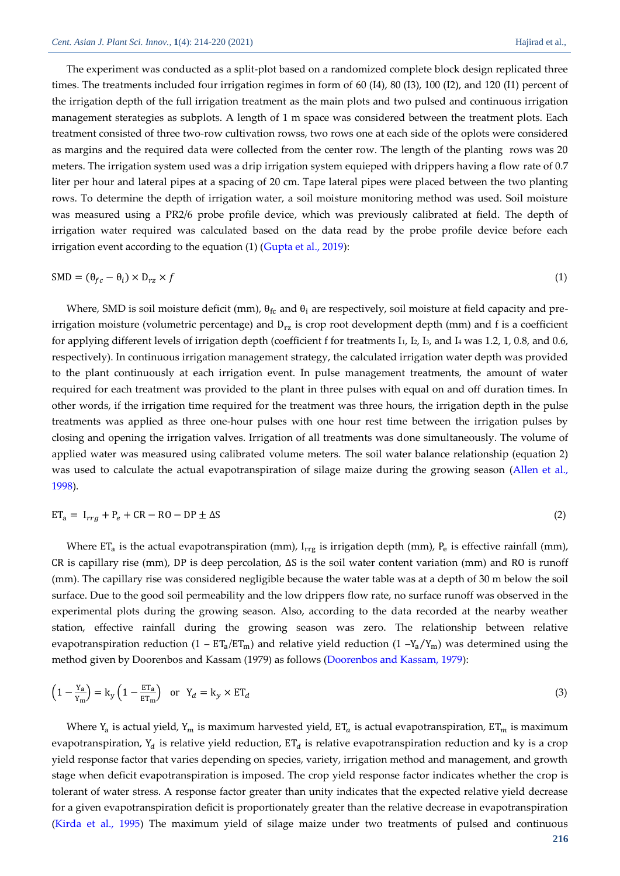The experiment was conducted as a split-plot based on a randomized complete block design replicated three times. The treatments included four irrigation regimes in form of 60 (I4), 80 (I3), 100 (I2), and 120 (I1) percent of the irrigation depth of the full irrigation treatment as the main plots and two pulsed and continuous irrigation management sterategies as subplots. A length of 1 m space was considered between the treatment plots. Each treatment consisted of three two-row cultivation rowss, two rows one at each side of the oplots were considered as margins and the required data were collected from the center row. The length of the planting rows was 20 meters. The irrigation system used was a drip irrigation system equieped with drippers having a flow rate of 0.7 liter per hour and lateral pipes at a spacing of 20 cm. Tape lateral pipes were placed between the two planting rows. To determine the depth of irrigation water, a soil moisture monitoring method was used. Soil moisture was measured using a PR2/6 probe profile device, which was previously calibrated at field. The depth of irrigation water required was calculated based on the data read by the probe profile device before each irrigation event according to the equation (1) [\(Gupta et al., 2019\)](#page-6-5):

$$
SMD = (\theta_{fc} - \theta_i) \times D_{rz} \times f \tag{1}
$$

Where, SMD is soil moisture deficit (mm),  $\theta_{\rm fc}$  and  $\theta_{\rm i}$  are respectively, soil moisture at field capacity and preirrigation moisture (volumetric percentage) and  $D_{rz}$  is crop root development depth (mm) and f is a coefficient for applying different levels of irrigation depth (coefficient f for treatments  $I_1$ ,  $I_2$ ,  $I_3$ , and  $I_4$  was 1.2, 1, 0.8, and 0.6, respectively). In continuous irrigation management strategy, the calculated irrigation water depth was provided to the plant continuously at each irrigation event. In pulse management treatments, the amount of water required for each treatment was provided to the plant in three pulses with equal on and off duration times. In other words, if the irrigation time required for the treatment was three hours, the irrigation depth in the pulse treatments was applied as three one-hour pulses with one hour rest time between the irrigation pulses by closing and opening the irrigation valves. Irrigation of all treatments was done simultaneously. The volume of applied water was measured using calibrated volume meters. The soil water balance relationship (equation 2) was used to calculate the actual evapotranspiration of silage maize during the growing season [\(Allen et al.,](#page-5-2)  [1998\)](#page-5-2).

$$
ET_a = I_{rrg} + P_e + CR - RO - DP \pm \Delta S \tag{2}
$$

Where  $ET_a$  is the actual evapotranspiration (mm),  $I_{rrg}$  is irrigation depth (mm),  $P_e$  is effective rainfall (mm), CR is capillary rise (mm), DP is deep percolation, ∆S is the soil water content variation (mm) and RO is runoff (mm). The capillary rise was considered negligible because the water table was at a depth of 30 m below the soil surface. Due to the good soil permeability and the low drippers flow rate, no surface runoff was observed in the experimental plots during the growing season. Also, according to the data recorded at the nearby weather station, effective rainfall during the growing season was zero. The relationship between relative evapotranspiration reduction (1 –  $ET_a/ET_m$ ) and relative yield reduction (1 – $Y_a/Y_m$ ) was determined using the method given by Doorenbos and Kassam (1979) as follows [\(Doorenbos and Kassam, 1979\)](#page-6-6):

$$
\left(1 - \frac{Y_a}{Y_m}\right) = k_y \left(1 - \frac{ET_a}{ET_m}\right) \quad \text{or} \quad Y_d = k_y \times ET_d \tag{3}
$$

Where Y<sub>a</sub> is actual yield, Y<sub>m</sub> is maximum harvested yield, ET<sub>a</sub> is actual evapotranspiration, ET<sub>m</sub> is maximum evapotranspiration, Y<sub>d</sub> is relative yield reduction, ET<sub>d</sub> is relative evapotranspiration reduction and ky is a crop yield response factor that varies depending on species, variety, irrigation method and management, and growth stage when deficit evapotranspiration is imposed. The crop yield response factor indicates whether the crop is tolerant of water stress. A response factor greater than unity indicates that the expected relative yield decrease for a given evapotranspiration deficit is proportionately greater than the relative decrease in evapotranspiration [\(Kirda et al., 1995\)](#page-6-7) The maximum yield of silage maize under two treatments of pulsed and continuous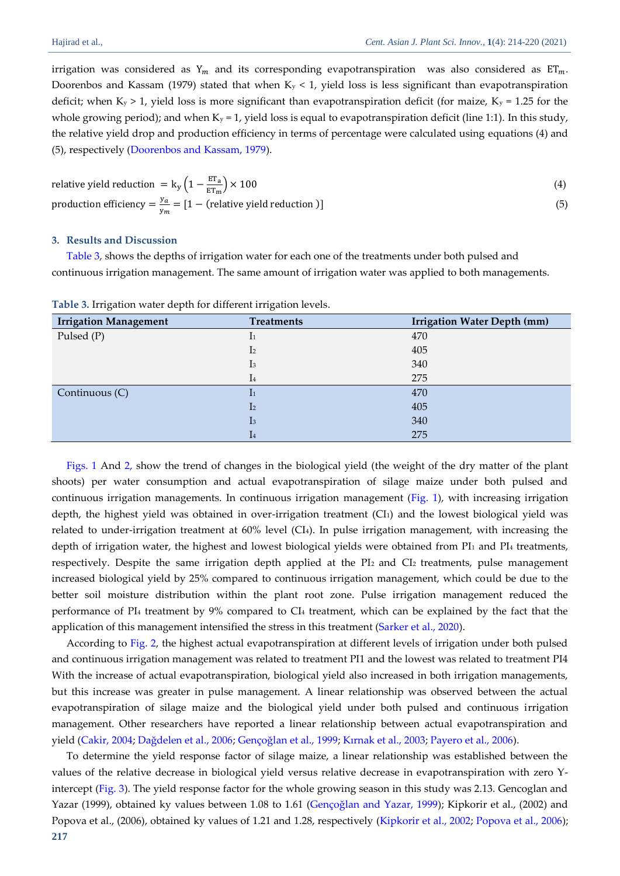irrigation was considered as  $Y_m$  and its corresponding evapotranspiration was also considered as  $ET_m$ . Doorenbos and Kassam (1979) stated that when  $K_y < 1$ , yield loss is less significant than evapotranspiration deficit; when  $K_y > 1$ , yield loss is more significant than evapotranspiration deficit (for maize,  $K_y = 1.25$  for the whole growing period); and when  $K_y = 1$ , yield loss is equal to evapotranspiration deficit (line 1:1). In this study, the relative yield drop and production efficiency in terms of percentage were calculated using equations (4) and (5), respectively [\(Doorenbos and Kassam, 1979\)](#page-6-6).

relative yield reduction = 
$$
k_y ig(1 - \frac{ET_a}{ET_m} \big) \times 100
$$
 (4)  
production efficiency =  $\frac{y_a}{v_m} = [1 - (relative yield reduction)]$  (5)

### **3. Results and Discussion**

[Table 3,](#page-3-0) shows the depths of irrigation water for each one of the treatments under both pulsed and continuous irrigation management. The same amount of irrigation water was applied to both managements.

| <b>Irrigation Management</b> | <b>Treatments</b>         | <b>Irrigation Water Depth (mm)</b> |
|------------------------------|---------------------------|------------------------------------|
| Pulsed (P)                   | $\mathbf{1}$              | 470                                |
|                              | I <sub>2</sub>            | 405                                |
|                              | $\mathbf{I}$ <sub>3</sub> | 340                                |
|                              | $\mathbf{I}$              | 275                                |
| Continuous (C)               | $\mathbf{I}$              | 470                                |
|                              | I <sub>2</sub>            | 405                                |
|                              | I <sub>3</sub>            | 340                                |
|                              | $\mathbf{I}$              | 275                                |

<span id="page-3-0"></span>**Table 3.** Irrigation water depth for different irrigation levels.

[Figs. 1](#page-4-0) And [2,](#page-4-1) show the trend of changes in the biological yield (the weight of the dry matter of the plant shoots) per water consumption and actual evapotranspiration of silage maize under both pulsed and continuous irrigation managements. In continuous irrigation management [\(Fig. 1\)](#page-4-0), with increasing irrigation depth, the highest yield was obtained in over-irrigation treatment (CI1) and the lowest biological yield was related to under-irrigation treatment at 60% level (CI4). In pulse irrigation management, with increasing the depth of irrigation water, the highest and lowest biological yields were obtained from PI1 and PI4 treatments, respectively. Despite the same irrigation depth applied at the PI2 and CI2 treatments, pulse management increased biological yield by 25% compared to continuous irrigation management, which could be due to the better soil moisture distribution within the plant root zone. Pulse irrigation management reduced the performance of PI<sup>4</sup> treatment by 9% compared to CI<sup>4</sup> treatment, which can be explained by the fact that the application of this management intensified the stress in this treatment [\(Sarker et al., 2020\)](#page-6-8).

According to [Fig. 2,](#page-4-1) the highest actual evapotranspiration at different levels of irrigation under both pulsed and continuous irrigation management was related to treatment PI1 and the lowest was related to treatment PI4 With the increase of actual evapotranspiration, biological yield also increased in both irrigation managements, but this increase was greater in pulse management. A linear relationship was observed between the actual evapotranspiration of silage maize and the biological yield under both pulsed and continuous irrigation management. Other researchers have reported a linear relationship between actual evapotranspiration and yield [\(Cakir, 2004;](#page-5-3) [Dağdelen et al., 2006](#page-5-0); Gençoğlan [et al., 1999;](#page-6-9) [Kırnak et al., 2003](#page-6-10); [Payero et al., 2006\)](#page-6-11).

**217** To determine the yield response factor of silage maize, a linear relationship was established between the values of the relative decrease in biological yield versus relative decrease in evapotranspiration with zero Yintercept [\(Fig. 3\)](#page-4-2). The yield response factor for the whole growing season in this study was 2.13. Gencoglan and Yazar (1999), obtained ky values between 1.08 to 1.61 ([Gençoğlan and Yazar, 1999](#page-6-9)); Kipkorir et al., (2002) and Popova et al., (2006), obtained ky values of 1.21 and 1.28, respectively [\(Kipkorir et al., 2002;](#page-6-12) Popova [et al., 2006\)](#page-6-13);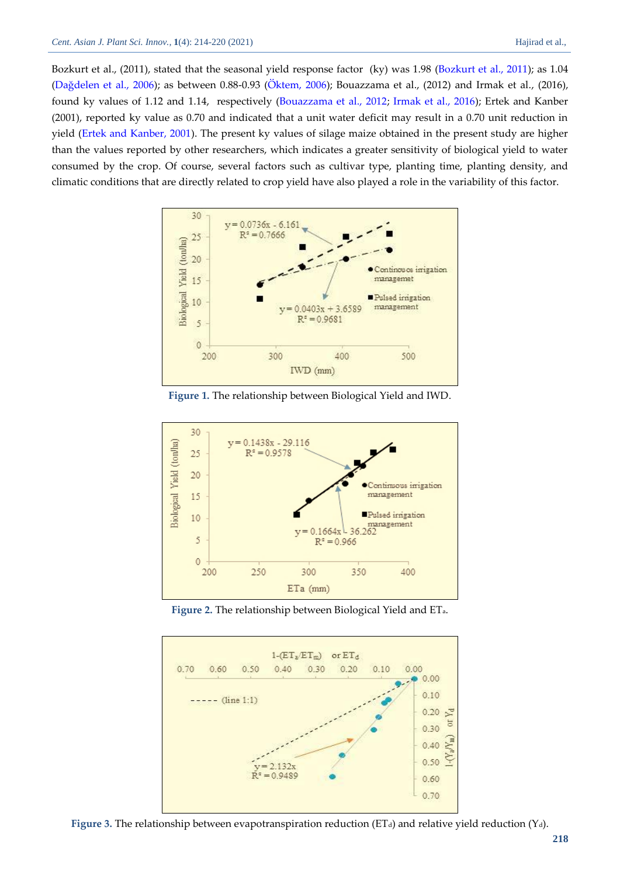Bozkurt et al., (2011), stated that the seasonal yield response factor (ky) was 1.98 [\(Bozkurt et al., 2011\)](#page-5-4); as 1.04 ([Dağdelen et al., 2006](#page-5-0)); as between 0.88-0.93 [\(Öktem, 2006\)](#page-6-14); Bouazzama et al., (2012) and Irmak et al., (2016), found ky values of 1.12 and 1.14, respectively [\(Bouazzama et al., 2012;](#page-5-1) [Irmak et al., 2016\)](#page-6-15); Ertek and Kanber (2001), reported ky value as 0.70 and indicated that a unit water deficit may result in a 0.70 unit reduction in yield [\(Ertek and Kanber, 2001\)](#page-6-16). The present ky values of silage maize obtained in the present study are higher than the values reported by other researchers, which indicates a greater sensitivity of biological yield to water consumed by the crop. Of course, several factors such as cultivar type, planting time, planting density, and climatic conditions that are directly related to crop yield have also played a role in the variability of this factor.



**Figure 1.** The relationship between Biological Yield and IWD.

<span id="page-4-0"></span>

**Figure 2.** The relationship between Biological Yield and ETa.

<span id="page-4-1"></span>

<span id="page-4-2"></span>Figure 3. The relationship between evapotranspiration reduction (ET<sub>d</sub>) and relative yield reduction (Y<sub>d</sub>).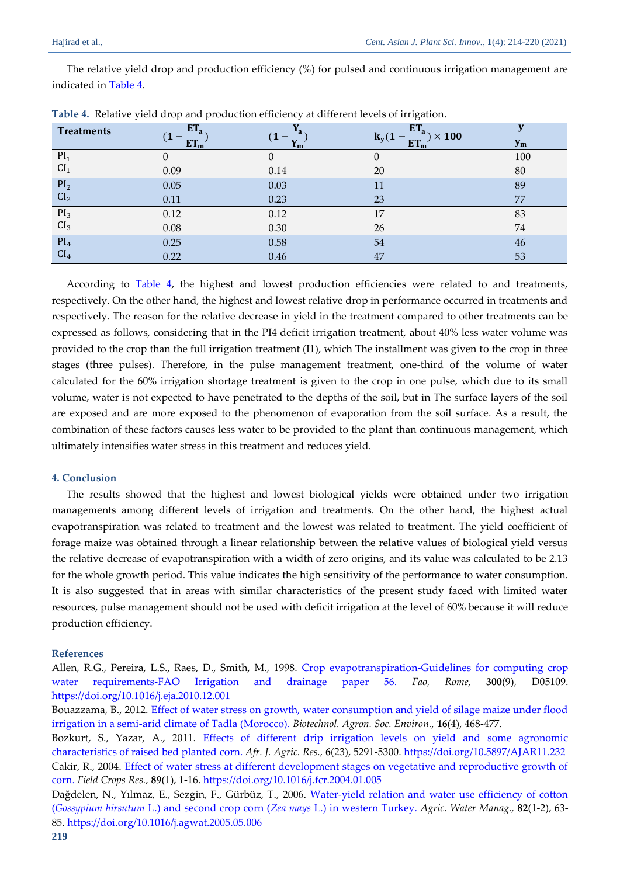The relative yield drop and production efficiency (%) for pulsed and continuous irrigation management are indicated i[n Table 4.](#page-5-5)

| <b>Treatments</b> | ET <sub>a</sub><br><b>TANK</b> |      | $ET_a$<br>$\times 100$<br>$k_v(1)$<br><b>ET</b> | $y_m$ |
|-------------------|--------------------------------|------|-------------------------------------------------|-------|
| PI <sub>1</sub>   | 0                              |      |                                                 | 100   |
| CI <sub>1</sub>   | 0.09                           | 0.14 | 20                                              | 80    |
| PI <sub>2</sub>   | 0.05                           | 0.03 | 11                                              | 89    |
| CI <sub>2</sub>   | 0.11                           | 0.23 | 23                                              | 77    |
| PI <sub>3</sub>   | 0.12                           | 0.12 | 17                                              | 83    |
| CI <sub>3</sub>   | 0.08                           | 0.30 | 26                                              | 74    |
| PI <sub>4</sub>   | 0.25                           | 0.58 | 54                                              | 46    |
| CI <sub>4</sub>   | 0.22                           | 0.46 | 47                                              | 53    |

<span id="page-5-5"></span>**Table 4.** Relative yield drop and production efficiency at different levels of irrigation.

According to [Table 4,](#page-5-5) the highest and lowest production efficiencies were related to and treatments, respectively. On the other hand, the highest and lowest relative drop in performance occurred in treatments and respectively. The reason for the relative decrease in yield in the treatment compared to other treatments can be expressed as follows, considering that in the PI4 deficit irrigation treatment, about 40% less water volume was provided to the crop than the full irrigation treatment (I1), which The installment was given to the crop in three stages (three pulses). Therefore, in the pulse management treatment, one-third of the volume of water calculated for the 60% irrigation shortage treatment is given to the crop in one pulse, which due to its small volume, water is not expected to have penetrated to the depths of the soil, but in The surface layers of the soil are exposed and are more exposed to the phenomenon of evaporation from the soil surface. As a result, the combination of these factors causes less water to be provided to the plant than continuous management, which ultimately intensifies water stress in this treatment and reduces yield.

# **4. Conclusion**

The results showed that the highest and lowest biological yields were obtained under two irrigation managements among different levels of irrigation and treatments. On the other hand, the highest actual evapotranspiration was related to treatment and the lowest was related to treatment. The yield coefficient of forage maize was obtained through a linear relationship between the relative values of biological yield versus the relative decrease of evapotranspiration with a width of zero origins, and its value was calculated to be 2.13 for the whole growth period. This value indicates the high sensitivity of the performance to water consumption. It is also suggested that in areas with similar characteristics of the present study faced with limited water resources, pulse management should not be used with deficit irrigation at the level of 60% because it will reduce production efficiency.

## **References**

<span id="page-5-2"></span>Allen, R.G., Pereira, L.S., Raes, D., Smith, M., 1998. [Crop evapotranspiration-Guidelines for computing crop](https://d1wqtxts1xzle7.cloudfront.net/40878584/Allen_FAO1998-with-cover-page-v2.pdf?Expires=1642167382&Signature=T6pYlP7owtMDSt~om6Vftzj7MjFcNQwdL9Wlldx0Rux91jSpc5H9u~xPoLWKHpabxaYl5FDMm-hUrEkGNZGQs2rI-q-aAF6fi8~qry8Nbv9wdfFbkWYb9YL1m7nsbIMlAS2z~0uJzbsAwyxa7hCVEaSGFEbCFjF7tUOcf2uqB7z~Ls8zSCjrlVxQvI5T2-LdDYqQ4EbuuhFFyDKvGXJ-XoI7stsxHFzsFaAxmoaslxdRsTsEybDWNM6ktYWBf9DSNy5IdZOP0w14ortXI4cUy1-TnrKOTYVis1TH74u9S-gyn0gs63hzoD5TAsam9Su9Wg4buYrBHyiG1C65geISbg__&Key-Pair-Id=APKAJLOHF5GGSLRBV4ZA)  [water requirements-FAO Irrigation and drainage paper 56.](https://d1wqtxts1xzle7.cloudfront.net/40878584/Allen_FAO1998-with-cover-page-v2.pdf?Expires=1642167382&Signature=T6pYlP7owtMDSt~om6Vftzj7MjFcNQwdL9Wlldx0Rux91jSpc5H9u~xPoLWKHpabxaYl5FDMm-hUrEkGNZGQs2rI-q-aAF6fi8~qry8Nbv9wdfFbkWYb9YL1m7nsbIMlAS2z~0uJzbsAwyxa7hCVEaSGFEbCFjF7tUOcf2uqB7z~Ls8zSCjrlVxQvI5T2-LdDYqQ4EbuuhFFyDKvGXJ-XoI7stsxHFzsFaAxmoaslxdRsTsEybDWNM6ktYWBf9DSNy5IdZOP0w14ortXI4cUy1-TnrKOTYVis1TH74u9S-gyn0gs63hzoD5TAsam9Su9Wg4buYrBHyiG1C65geISbg__&Key-Pair-Id=APKAJLOHF5GGSLRBV4ZA) *Fao, Rome,* **300**(9), D05109. <https://doi.org/10.1016/j.eja.2010.12.001>

<span id="page-5-1"></span>Bouazzama, B., 2012. [Effect of water stress on growth, water consumption and yield of silage maize under flood](https://popups.uliege.be/1780-4507/index.php?id=17003&file=1&pid=9137)  [irrigation in a semi-arid climate of Tadla \(Morocco\).](https://popups.uliege.be/1780-4507/index.php?id=17003&file=1&pid=9137) *Biotechnol. Agron. Soc. Environ.,* **16**(4), 468-477.

<span id="page-5-4"></span><span id="page-5-3"></span>Bozkurt, S., Yazar, A., 2011. [Effects of different drip irrigation levels on yield and some agronomic](https://academicjournals.org/journal/AJAR/article-full-text-pdf/BE8BF1837844.pdf)  [characteristics of raised bed planted](https://academicjournals.org/journal/AJAR/article-full-text-pdf/BE8BF1837844.pdf) corn. *Afr. J. Agric. Res.,* **6**(23), 5291-5300[. https://doi.org/10.5897/AJAR11.232](https://doi.org/10.5897/AJAR11.232) Cakir, R., 2004. [Effect of water stress at different development stages on vegetative and reproductive growth of](https://d1wqtxts1xzle7.cloudfront.net/57208382/effct_of_water_stress-with-cover-page-v2.pdf?Expires=1642234470&Signature=Jy2AIP2YXh1b2LptxcloV~KMSwQA5M-sKOj2o3WCOR38f~eE0gGn4vjb6zDTG4fcr1UDmd9awBoP140yLujeWSQ~XsTaRFCB9Op~D6-gCxJ45FItH0NQLjM6ZBMfkJVvXzutPLvwp6GkBWQl2hKilb~C8Z7XGCo~BvsszG6wWmSCGfy4G289FxTkoFR7W-QbsX9aj2UeGKa4M1jJYCqB0VT5761AMPlM38~RHNPamdHnFFR-WuhkCz3wQYtzG3AdLnnIfteMWiFeiuj2uhZDv~n8tQi3tfqvaMrGGouf4ow2nHqn9KDk8hWt6s4aKmGOJ62DV0xy8o5gPNSReQObmw__&Key-Pair-Id=APKAJLOHF5GGSLRBV4ZA)  [corn.](https://d1wqtxts1xzle7.cloudfront.net/57208382/effct_of_water_stress-with-cover-page-v2.pdf?Expires=1642234470&Signature=Jy2AIP2YXh1b2LptxcloV~KMSwQA5M-sKOj2o3WCOR38f~eE0gGn4vjb6zDTG4fcr1UDmd9awBoP140yLujeWSQ~XsTaRFCB9Op~D6-gCxJ45FItH0NQLjM6ZBMfkJVvXzutPLvwp6GkBWQl2hKilb~C8Z7XGCo~BvsszG6wWmSCGfy4G289FxTkoFR7W-QbsX9aj2UeGKa4M1jJYCqB0VT5761AMPlM38~RHNPamdHnFFR-WuhkCz3wQYtzG3AdLnnIfteMWiFeiuj2uhZDv~n8tQi3tfqvaMrGGouf4ow2nHqn9KDk8hWt6s4aKmGOJ62DV0xy8o5gPNSReQObmw__&Key-Pair-Id=APKAJLOHF5GGSLRBV4ZA) *Field Crops Res.,* **89**(1), 1-16.<https://doi.org/10.1016/j.fcr.2004.01.005>

<span id="page-5-0"></span>Dağdelen, N., Yılmaz, E., Sezgin, F., Gürbüz, T., 2006. [Water-yield relation and water use efficiency of cotton](https://freepaper.me/leecher/pdf/10.1016/j.agwat.2005.05.006)  (*Gossypium hirsutum* [L.\) and second crop corn \(](https://freepaper.me/leecher/pdf/10.1016/j.agwat.2005.05.006)*Zea mays* L.) in western Turkey. *Agric. Water Manag.,* **82**(1-2), 63- 85[. https://doi.org/10.1016/j.agwat.2005.05.006](https://doi.org/10.1016/j.agwat.2005.05.006)